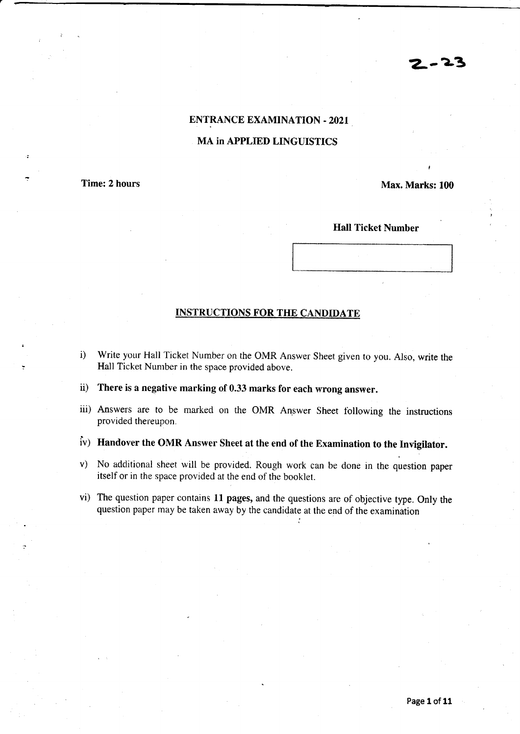# $2 - 23$

### ENTRANCE EXAMINATION - 2O2I

#### MA in APPLIED LINGUISTICS

Time: 2 hours

Max. Marks: 100

,

Hall Ticket Number

#### INSTRUCTIONS FOR THE CANDJDATE

- i) Write your Hall Ticket Number on the OMR Answer Sheet given to yon. Also, write the Hall Ticket Nunrber in the space provided above.
- ii) There is a negative marking of 0.33 marks for each wrong answer.
- iii) Answers are to be marked on the OMR Answer Sheet following the instructions provided thereupon.
- iv) Handover the OMR Answer Sheet at the end of the Examination to the Invigilator.
- v) No additional sheet will be provided. Rough work can be done in the question paper itself or in the space provided ar the end of the booklet.
- vi) The question paper contains ll pages, and the questions are of objective type. Only the question paper may be taken away by the candidate at the end of the examination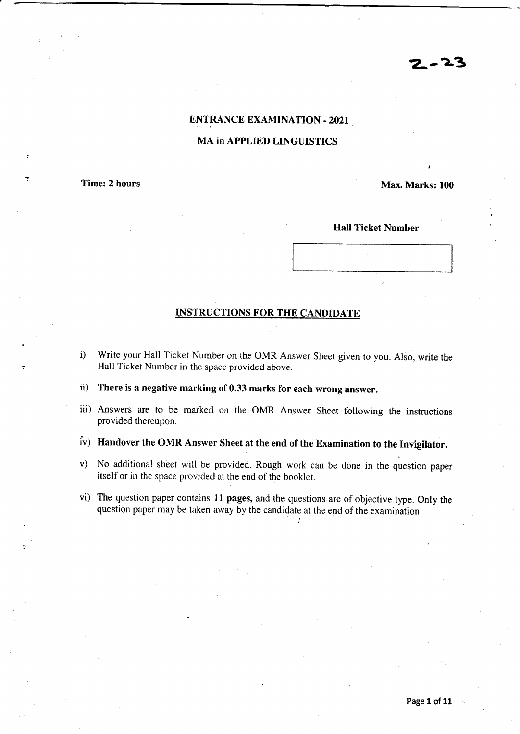# 2.-2-3

### ENTRANCE EXAMINATION - 2O2I

#### MA in APPLIED LINGUISTICS

Time: 2 hours

Max. Marks: 100

t

Hall Ticket Number

#### INSTRUCTIONS FOR THE CANDIDATE

- i) Write your Hall Ticket Number on the OMR Answer Sheet given ro you. Also, write the Hall Ticket Number in the space provided above.
- ii) There is a negative marking of 0.33 marks for each wrong answer.
- iii) Answers are to be marked on the OMR Answer Sheet following the instructions provided thereupon.
- iv) Handover the OMR Answer Sheet at the end of the Examination to the Invigilator.
- v) No additional sheet will be provided. Rough work can be done in the question paper itself or in the space provided at the end of the booklet.
- vi) The question paper contains l1 pages, and the questions are of objective type. Only the question paper may be taken away by the candidate at the end of the examination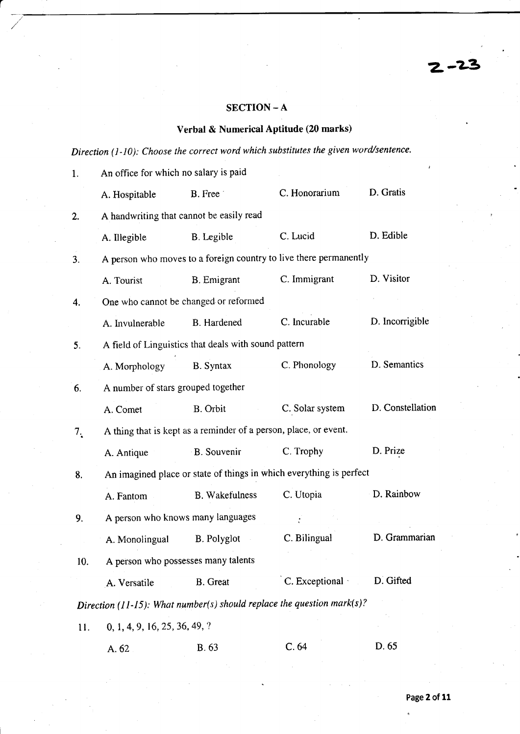## SECTION - A

# Verbal & Numerical Aptitude (20 marks)

Direction  $(1-10)$ : Choose the correct word which substitutes the given word/sentence.

| 1.  | An office for which no salary is paid                               |                                                                  |                                                                        |                  |  |  |  |
|-----|---------------------------------------------------------------------|------------------------------------------------------------------|------------------------------------------------------------------------|------------------|--|--|--|
|     | A. Hospitable                                                       | B. Free                                                          | C. Honorarium                                                          | D. Gratis        |  |  |  |
| 2.  |                                                                     | A handwriting that cannot be easily read                         |                                                                        |                  |  |  |  |
|     | A. Illegible                                                        | B. Legible                                                       | C. Lucid                                                               | D. Edible        |  |  |  |
| 3.  |                                                                     |                                                                  | A person who moves to a foreign country to live there permanently      |                  |  |  |  |
|     | A. Tourist                                                          | <b>B.</b> Emigrant                                               | C. Immigrant                                                           | D. Visitor       |  |  |  |
| 4.  |                                                                     | One who cannot be changed or reformed                            |                                                                        |                  |  |  |  |
|     | A. Invulnerable                                                     | <b>B.</b> Hardened                                               | C. Incurable                                                           | D. Incorrigible  |  |  |  |
| 5.  |                                                                     | A field of Linguistics that deals with sound pattern             |                                                                        |                  |  |  |  |
|     | A. Morphology                                                       | B. Syntax                                                        | C. Phonology                                                           | D. Semantics     |  |  |  |
| 6.  | A number of stars grouped together                                  |                                                                  |                                                                        |                  |  |  |  |
|     | A. Comet                                                            | B. Orbit                                                         | C. Solar system                                                        | D. Constellation |  |  |  |
| 7.  |                                                                     | A thing that is kept as a reminder of a person, place, or event. |                                                                        |                  |  |  |  |
|     | A. Antique                                                          | B. Souvenir                                                      | C. Trophy                                                              | D. Prize         |  |  |  |
| 8.  | An imagined place or state of things in which everything is perfect |                                                                  |                                                                        |                  |  |  |  |
|     | A. Fantom                                                           | <b>B.</b> Wakefulness                                            | C. Utopia                                                              | D. Rainbow       |  |  |  |
| 9.  |                                                                     | A person who knows many languages                                |                                                                        |                  |  |  |  |
|     | A. Monolingual                                                      | <b>B.</b> Polyglot                                               | C. Bilingual                                                           | D. Grammarian    |  |  |  |
| 10. |                                                                     | A person who possesses many talents                              |                                                                        |                  |  |  |  |
|     | A. Versatile                                                        | B. Great                                                         | C. Exceptional                                                         | D. Gifted        |  |  |  |
|     |                                                                     |                                                                  | Direction (11-15): What number(s) should replace the question mark(s)? |                  |  |  |  |
| 11. | 0, 1, 4, 9, 16, 25, 36, 49, ?                                       |                                                                  |                                                                        |                  |  |  |  |
|     | A. 62                                                               | <b>B.</b> 63                                                     | C.64                                                                   | D. 65            |  |  |  |

Z-?3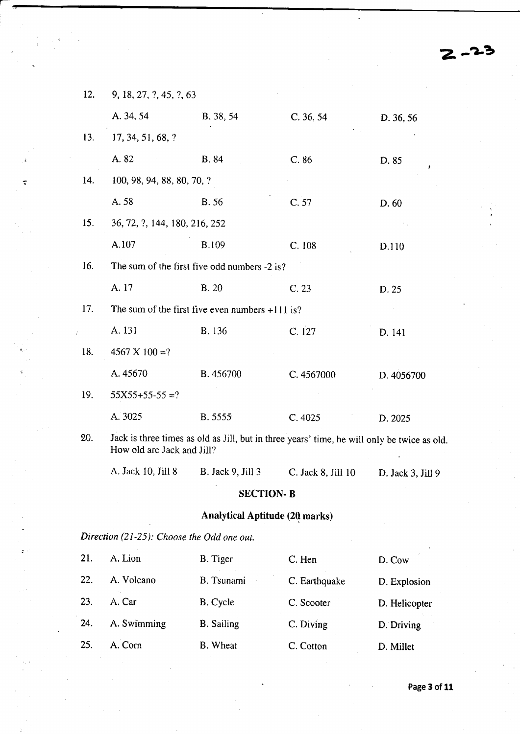| 12. | 9, 18, 27, ?, 45, ?, 63                                                                                                   |                                                   |                    |                        |  |  |
|-----|---------------------------------------------------------------------------------------------------------------------------|---------------------------------------------------|--------------------|------------------------|--|--|
|     | A. 34, 54                                                                                                                 | B. 38, 54                                         | C. 36, 54          | D. 36, 56              |  |  |
| 13. | 17, 34, 51, 68, ?                                                                                                         |                                                   |                    |                        |  |  |
|     | A.82                                                                                                                      | B. 84                                             | C.86               | D. 85                  |  |  |
| 14. | 100, 98, 94, 88, 80, 70, ?                                                                                                |                                                   |                    |                        |  |  |
|     | A. 58                                                                                                                     | <b>B.56</b>                                       | C. 57              | D.60                   |  |  |
| 15. | 36, 72, ?, 144, 180, 216, 252                                                                                             |                                                   |                    |                        |  |  |
|     | A.107                                                                                                                     | <b>B.109</b>                                      | C.108              | D.110                  |  |  |
| 16. |                                                                                                                           | The sum of the first five odd numbers -2 is?      |                    |                        |  |  |
|     | A. 17                                                                                                                     | <b>B.20</b>                                       | C.23               | D. 25                  |  |  |
| 17. |                                                                                                                           | The sum of the first five even numbers $+111$ is? |                    |                        |  |  |
|     | A. 131                                                                                                                    | B. 136                                            | C. 127             | D. 141                 |  |  |
| 18. | $4567 \times 100 = ?$                                                                                                     |                                                   |                    |                        |  |  |
|     | A. 45670                                                                                                                  | <b>B.</b> 456700                                  | C. 4567000         | D. 4056700             |  |  |
| 19. | $55X55+55-55=?$                                                                                                           |                                                   |                    |                        |  |  |
|     | A. 3025                                                                                                                   | B. 5555                                           | C. 4025            | D. 2025                |  |  |
| 20. | Jack is three times as old as Jill, but in three years' time, he will only be twice as old.<br>How old are Jack and Jill? |                                                   |                    |                        |  |  |
|     | A. Jack 10, Jill 8                                                                                                        | <b>B.</b> Jack 9, Jill 3                          | C. Jack 8, Jill 10 | D. Jack $3$ , Jill $9$ |  |  |
|     |                                                                                                                           | <b>SECTION-B</b>                                  |                    |                        |  |  |
|     |                                                                                                                           | <b>Analytical Aptitude (20 marks)</b>             |                    |                        |  |  |
|     | Direction (21-25): Choose the Odd one out.                                                                                |                                                   |                    |                        |  |  |

 $\overline{\varsigma}$ 

| 21. | A. Lion     | B. Tiger          | C. Hen        | D. Cow        |
|-----|-------------|-------------------|---------------|---------------|
| 22. | A. Volcano  | <b>B.</b> Tsunami | C. Earthquake | D. Explosion  |
| 23. | A. Car      | B. Cycle          | C. Scooter    | D. Helicopter |
| 24. | A. Swimming | <b>B.</b> Sailing | C. Diving     | D. Driving    |
| 25. | A. Corn     | B. Wheat          | C. Cotton     | D. Millet     |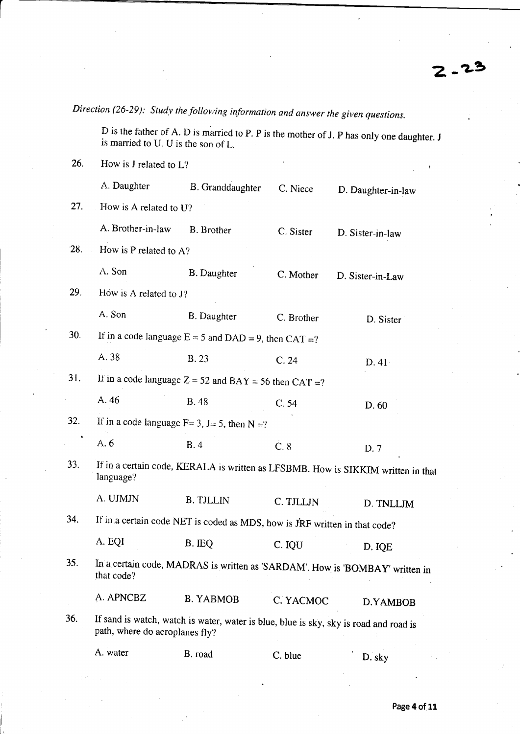Direction (26-29): Study the following information and answer the given questions.

D is the father of A. D is married to P. P is the mother of J. P has only one daughter. J is mamied to U. U is the son of L.

26. How is J related to  $L$ ?

|           | A. Daughter                                                                                                             | B. Granddaughter                                             | C. Niece   | D. Daughter-in-law                                                           |  |  |  |
|-----------|-------------------------------------------------------------------------------------------------------------------------|--------------------------------------------------------------|------------|------------------------------------------------------------------------------|--|--|--|
| 27.       | How is A related to U?                                                                                                  |                                                              |            |                                                                              |  |  |  |
|           | A. Brother-in-law                                                                                                       | B. Brother                                                   | C. Sister  | D. Sister-in-law                                                             |  |  |  |
| 28.       | How is P related to A?                                                                                                  |                                                              |            |                                                                              |  |  |  |
|           | A. Son                                                                                                                  | <b>B.</b> Daughter                                           | C. Mother  | D. Sister-in-Law                                                             |  |  |  |
| 29.       | How is A related to J?                                                                                                  |                                                              |            |                                                                              |  |  |  |
|           | A. Son                                                                                                                  | <b>B.</b> Daughter                                           | C. Brother | D. Sister                                                                    |  |  |  |
| 30.       |                                                                                                                         | If in a code language $E = 5$ and $DAD = 9$ , then $CAT = ?$ |            |                                                                              |  |  |  |
|           | A. 38                                                                                                                   | <b>B.23</b>                                                  | C.24       | D.41                                                                         |  |  |  |
| 31.       |                                                                                                                         | If in a code language $Z = 52$ and $BAY = 56$ then $CAT = ?$ |            |                                                                              |  |  |  |
|           | A. 46                                                                                                                   | <b>B.</b> 48                                                 | C.54       | D. 60                                                                        |  |  |  |
| 32.       |                                                                                                                         | If in a code language $F = 3$ , $J = 5$ , then $N = ?$       |            |                                                                              |  |  |  |
| $\bullet$ | A. 6                                                                                                                    | B.4                                                          | C.8        | D.7                                                                          |  |  |  |
| 33.       | If in a certain code, KERALA is written as LFSBMB. How is SIKKIM written in that<br>language?                           |                                                              |            |                                                                              |  |  |  |
|           | A. UJMJN                                                                                                                | <b>B. TJLLIN</b>                                             | C. TJLLJN  | D. TNLLJM                                                                    |  |  |  |
| 34.       | If in a certain code NET is coded as MDS, how is JRF written in that code?                                              |                                                              |            |                                                                              |  |  |  |
|           | A. EQI                                                                                                                  | B. IEQ                                                       | C. IQU     | D. IQE                                                                       |  |  |  |
| 35.       | that code?                                                                                                              |                                                              |            | In a certain code, MADRAS is written as 'SARDAM'. How is 'BOMBAY' written in |  |  |  |
|           | A. APNCBZ                                                                                                               | <b>B. YABMOB</b>                                             | C. YACMOC  | D.YAMBOB                                                                     |  |  |  |
| 36.       | If sand is watch, watch is water, water is blue, blue is sky, sky is road and road is<br>path, where do aeroplanes fly? |                                                              |            |                                                                              |  |  |  |
|           | A. water                                                                                                                | B. road                                                      | C. blue    | D. sky                                                                       |  |  |  |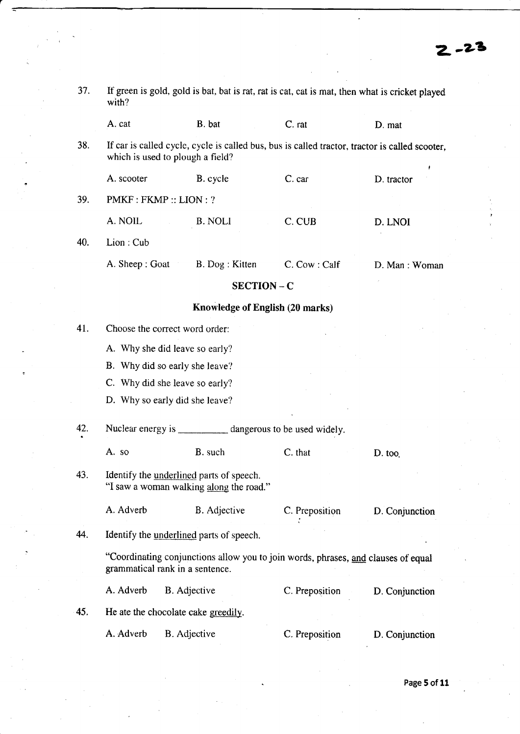| 37.                                                                                                | If green is gold, gold is bat, bat is rat, rat is cat, cat is mat, then what is cricket played<br>with? |                                                                                                                                    |                |                |  |
|----------------------------------------------------------------------------------------------------|---------------------------------------------------------------------------------------------------------|------------------------------------------------------------------------------------------------------------------------------------|----------------|----------------|--|
|                                                                                                    | A. cat                                                                                                  | B. bat                                                                                                                             | C. rat         | D. mat         |  |
| 38.                                                                                                |                                                                                                         | If car is called cycle, cycle is called bus, bus is called tractor, tractor is called scooter,<br>which is used to plough a field? |                |                |  |
|                                                                                                    | A. scooter                                                                                              | B. cycle                                                                                                                           | C. car         | D. tractor     |  |
| 39.                                                                                                |                                                                                                         | PMKF: FKMP:: LION: ?                                                                                                               |                |                |  |
|                                                                                                    | A. NOIL                                                                                                 | B. NOLI                                                                                                                            | C. CUB         | D. LNOI        |  |
| 40.                                                                                                | Lion: Cub                                                                                               |                                                                                                                                    |                |                |  |
|                                                                                                    | A. Sheep: Goat                                                                                          | B. Dog: Kitten                                                                                                                     | C. Cow: Calf   | D. Man: Woman  |  |
|                                                                                                    |                                                                                                         | <b>SECTION - C</b>                                                                                                                 |                |                |  |
|                                                                                                    |                                                                                                         | Knowledge of English (20 marks)                                                                                                    |                |                |  |
| 41.                                                                                                |                                                                                                         | Choose the correct word order:                                                                                                     |                |                |  |
|                                                                                                    |                                                                                                         |                                                                                                                                    |                |                |  |
| A. Why she did leave so early?<br>B. Why did so early she leave?<br>C. Why did she leave so early? |                                                                                                         |                                                                                                                                    |                |                |  |
|                                                                                                    |                                                                                                         |                                                                                                                                    |                |                |  |
|                                                                                                    |                                                                                                         | D. Why so early did she leave?                                                                                                     |                |                |  |
| 42.                                                                                                |                                                                                                         | Nuclear energy is ___________ dangerous to be used widely.                                                                         |                |                |  |
|                                                                                                    | A. so                                                                                                   | B. such                                                                                                                            | C. that        | D. too         |  |
| 43.                                                                                                |                                                                                                         | Identify the <u>underlined</u> parts of speech.<br>"I saw a woman walking along the road."                                         |                |                |  |
|                                                                                                    | A. Adverb                                                                                               | B. Adjective                                                                                                                       | C. Preposition | D. Conjunction |  |
| 44.                                                                                                |                                                                                                         | Identify the <u>underlined</u> parts of speech.                                                                                    |                |                |  |
|                                                                                                    |                                                                                                         | "Coordinating conjunctions allow you to join words, phrases, and clauses of equal<br>grammatical rank in a sentence.               |                |                |  |
|                                                                                                    | A. Adverb                                                                                               | <b>B.</b> Adjective                                                                                                                | C. Preposition | D. Conjunction |  |
| 45.                                                                                                |                                                                                                         | He ate the chocolate cake greedily.                                                                                                |                |                |  |
|                                                                                                    | A. Adverb                                                                                               | B. Adjective                                                                                                                       | C. Preposition | D. Conjunction |  |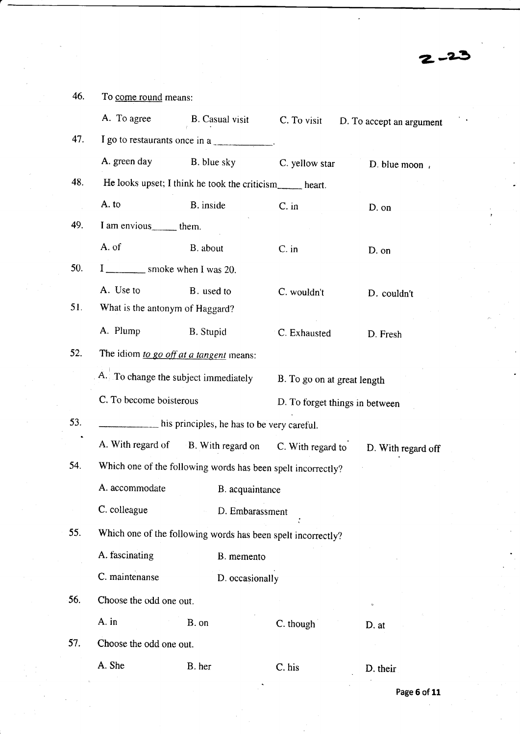46. To come round means: A. To agree B. Casual visit C. To visit D. To accept an argument 47. I go to restaurants once in a A. green day B. blue sky C. yellow star D. blue moon, 48. He looks upset; I think he took the criticism\_\_\_\_\_ heart. A. to B. inside C. in D. on 49. I am envious them. A. of B. about C. in D. on 50. **EXECUTE:** Smoke when I was 20. A. Use to B. used to C. wouldn't D. couldn't 51. What is the anronym of Haggard? A. Plump B. Stupid C. Exhausted D. Fresh 52. The idiom to go off at a tangent means: A. To change the subject immediately B. To go on at great length C. To become boisterous D. To forget things in between 53.  $\frac{1}{\sqrt{1-\frac{1}{\sqrt{1-\frac{1}{\sqrt{1-\frac{1}{\sqrt{1-\frac{1}{\sqrt{1-\frac{1}{\sqrt{1-\frac{1}{\sqrt{1-\frac{1}{\sqrt{1-\frac{1}{\sqrt{1-\frac{1}{\sqrt{1-\frac{1}{\sqrt{1-\frac{1}{\sqrt{1-\frac{1}{\sqrt{1-\frac{1}{\sqrt{1-\frac{1}{\sqrt{1-\frac{1}{\sqrt{1-\frac{1}{\sqrt{1-\frac{1}{\sqrt{1-\frac{1}{\sqrt{1-\frac{1}{\sqrt{1-\frac{1}{\sqrt{1-\frac{1}{\sqrt{1-\frac{1}{\sqrt{1-\frac{1}{\sqrt{1-\$ A. With regard of B. With regard on C. With regard to D. With regard off 54. which one of the following words has been spelt incorrectly? A. accommodate B. acquaintance C. colleague D. Embarassment .. 55. Which one of the following words has been spelt incorrectly? A. fascinating B. memento C. maintenanse D. occasionally 56. Choose the odd one out. A. in B. on C. though D. at 57. Choose the odd one out. A. She B. her C. his D. their

 $2 - 2$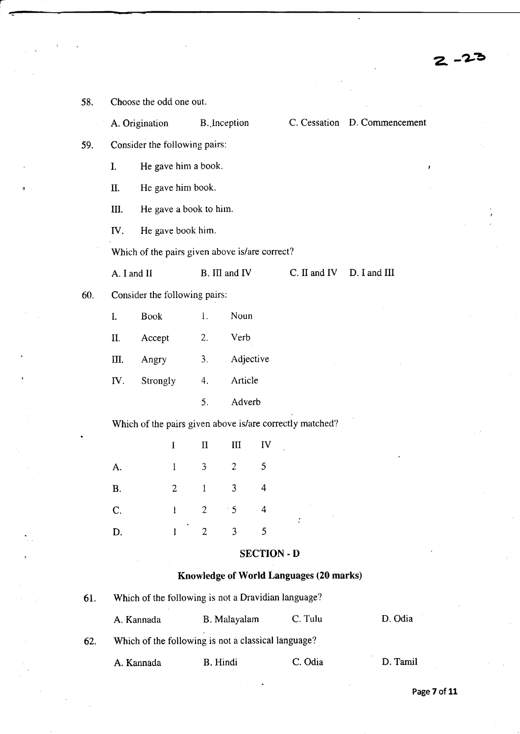| 58. |                  | Choose the odd one out.                        |                |                        |                |                    |                                                          |                              |
|-----|------------------|------------------------------------------------|----------------|------------------------|----------------|--------------------|----------------------------------------------------------|------------------------------|
|     |                  | A. Origination                                 |                | B. Inception           |                |                    |                                                          | C. Cessation D. Commencement |
| 59. |                  | Consider the following pairs:                  |                |                        |                |                    |                                                          |                              |
|     | I.               | He gave him a book.                            |                |                        |                |                    |                                                          |                              |
|     | Π.               | He gave him book.                              |                |                        |                |                    |                                                          |                              |
|     | Ш.               |                                                |                | He gave a book to him. |                |                    |                                                          |                              |
|     | IV.              | He gave book him.                              |                |                        |                |                    |                                                          |                              |
|     |                  | Which of the pairs given above is/are correct? |                |                        |                |                    |                                                          |                              |
|     | A. I and II      |                                                |                | B. III and IV          |                |                    | $C.$ II and IV                                           | D. I and III                 |
| 60. |                  | Consider the following pairs:                  |                |                        |                |                    |                                                          |                              |
|     | I.               | <b>Book</b>                                    |                | 1.                     | Noun           |                    |                                                          |                              |
|     | II.              | Accept                                         |                | Verb<br>2.             |                |                    |                                                          |                              |
|     | Ш.               | Angry                                          |                | 3 <sub>1</sub>         | Adjective      |                    |                                                          |                              |
|     | IV.<br>$\bar{z}$ | Strongly                                       |                | 4.                     | Article        |                    |                                                          |                              |
|     |                  |                                                |                | 5.                     | Adverb         |                    |                                                          |                              |
|     |                  |                                                |                |                        |                |                    | Which of the pairs given above is/are correctly matched? |                              |
|     |                  |                                                | $\bf{I}$       | $\mathbf{I}$           | $\mathbf{I}$   | IV                 |                                                          |                              |
|     | A.               |                                                | 1              | 3                      | $\overline{c}$ | 5                  |                                                          |                              |
|     | <b>B.</b>        |                                                | $\overline{2}$ | 1                      | 3              | 4                  |                                                          |                              |
|     | C.               |                                                | $\mathbf{I}$   | $\overline{2}$         | $\cdot$ 5      | 4                  |                                                          |                              |
|     | D.               |                                                | 1              | $\overline{2}$         | 3              | 5                  |                                                          |                              |
|     |                  |                                                |                |                        |                | <b>SECTION - D</b> |                                                          |                              |
|     |                  |                                                |                |                        |                |                    | Knowledge of World Languages (20 marks)                  |                              |
| 61. |                  |                                                |                |                        |                |                    | Which of the following is not a Dravidian language?      |                              |

Page 7 of 11

 $2 - 23$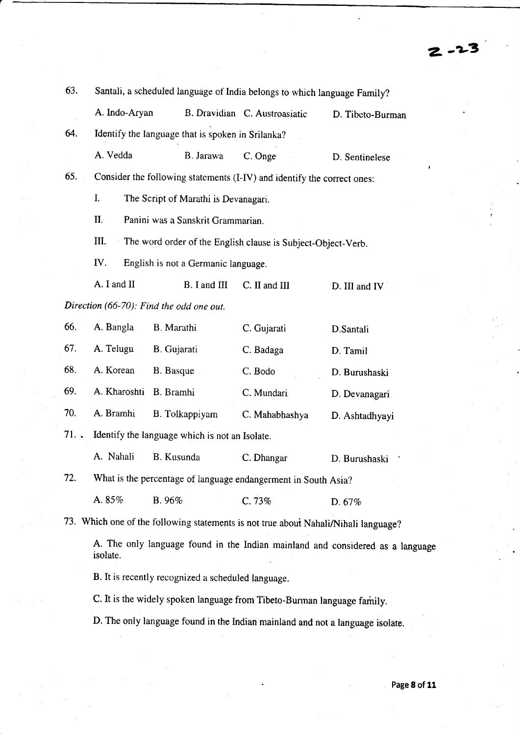| 63. | Santali, a scheduled language of India belongs to which language Family? |                                                                                     |                               |                                                                                |  |  |
|-----|--------------------------------------------------------------------------|-------------------------------------------------------------------------------------|-------------------------------|--------------------------------------------------------------------------------|--|--|
|     | A. Indo-Aryan                                                            |                                                                                     | B. Dravidian C. Austroasiatic | D. Tibeto-Burman                                                               |  |  |
| 64. |                                                                          | Identify the language that is spoken in Srilanka?                                   |                               |                                                                                |  |  |
|     | A. Vedda                                                                 | B. Jarawa                                                                           | C. Onge                       | D. Sentinelese                                                                 |  |  |
| 65. |                                                                          | Consider the following statements (I-IV) and identify the correct ones:             |                               |                                                                                |  |  |
|     | I.                                                                       | The Script of Marathi is Devanagari.                                                |                               |                                                                                |  |  |
|     | II.                                                                      | Panini was a Sanskrit Grammarian.                                                   |                               |                                                                                |  |  |
|     | III.                                                                     | The word order of the English clause is Subject-Object-Verb.                        |                               |                                                                                |  |  |
|     | IV.                                                                      | English is not a Germanic language.                                                 |                               |                                                                                |  |  |
|     | A. I and II                                                              | B. I and III                                                                        | C. II and III                 | D. III and IV                                                                  |  |  |
|     |                                                                          | Direction (66-70): Find the odd one out.                                            |                               |                                                                                |  |  |
| 66. | A. Bangla                                                                | B. Marathi                                                                          | C. Gujarati                   | D.Santali                                                                      |  |  |
| 67. | A. Telugu                                                                | B. Gujarati                                                                         | C. Badaga                     | D. Tamil                                                                       |  |  |
| 68. | A. Korean                                                                | B. Basque                                                                           | C. Bodo                       | D. Burushaski                                                                  |  |  |
| 69. | A. Kharoshti                                                             | B. Bramhi                                                                           | C. Mundari                    | D. Devanagari                                                                  |  |  |
| 70. | A. Bramhi                                                                | B. Tolkappiyam                                                                      | C. Mahabhashya                | D. Ashtadhyayi                                                                 |  |  |
| 71. |                                                                          | Identify the language which is not an Isolate.                                      |                               |                                                                                |  |  |
|     | A. Nahali                                                                | B. Kusunda                                                                          | C. Dhangar                    | D. Burushaski                                                                  |  |  |
| 72. |                                                                          | What is the percentage of language endangerment in South Asia?                      |                               |                                                                                |  |  |
|     | A. 85%                                                                   | B. 96%                                                                              | C. 73%                        | D. 67%                                                                         |  |  |
|     |                                                                          | 73. Which one of the following statements is not true about Nahali/Nihali language? |                               |                                                                                |  |  |
|     | isolate.                                                                 |                                                                                     |                               | A. The only language found in the Indian mainland and considered as a language |  |  |

B. It is recently recognized a scheduled language.

C. It is the widely spoken language from Tibeto-Burman language family.

D. The only language found in the Indian mainland and not a language isolate.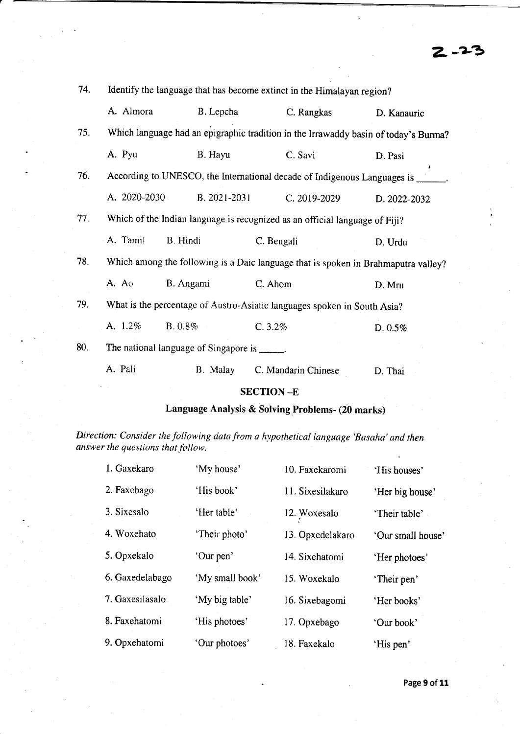| 74. | Identify the language that has become extinct in the Himalayan region? |                                              |                                                                                     |              |  |
|-----|------------------------------------------------------------------------|----------------------------------------------|-------------------------------------------------------------------------------------|--------------|--|
|     | A. Almora                                                              | B. Lepcha                                    | C. Rangkas                                                                          | D. Kanauric  |  |
| 75. |                                                                        |                                              | Which language had an epigraphic tradition in the Irrawaddy basin of today's Burma? |              |  |
|     | A. Pyu                                                                 | B. Hayu                                      | C. Savi                                                                             | D. Pasi      |  |
| 76. |                                                                        |                                              | According to UNESCO, the International decade of Indigenous Languages is            |              |  |
|     | A. 2020-2030                                                           | B. 2021-2031                                 | C. 2019-2029                                                                        | D. 2022-2032 |  |
| 77. |                                                                        |                                              | Which of the Indian language is recognized as an official language of Fiji?         |              |  |
|     | A. Tamil                                                               | B. Hindi                                     | C. Bengali                                                                          | D. Urdu      |  |
| 78. |                                                                        |                                              | Which among the following is a Daic language that is spoken in Brahmaputra valley?  |              |  |
|     | A. Ao                                                                  | B. Angami                                    | C. Ahom                                                                             | D. Mru       |  |
| 79. |                                                                        |                                              | What is the percentage of Austro-Asiatic languages spoken in South Asia?            |              |  |
|     | A. 1.2%                                                                | $B. 0.8\%$                                   | C.3.2%                                                                              | D. 0.5%      |  |
| 80. |                                                                        | The national language of Singapore is _____. |                                                                                     |              |  |
|     | A. Pali                                                                | B. Malay                                     | C. Mandarin Chinese                                                                 | D. Thai      |  |
|     |                                                                        |                                              |                                                                                     |              |  |

# SECTION \_E

# Language Analysis & Solving.Problems- (20 marks)

Direction: Consider the following data from a hypothetical language 'Basaha' and then answer the questions that follow.

| 1. Gaxekaro     | 'My house'      | 10. Faxekaromi   | 'His houses'      |
|-----------------|-----------------|------------------|-------------------|
| 2. Faxebago     | 'His book'      | 11. Sixesilakaro | 'Her big house'   |
| 3. Sixesalo     | 'Her table'     | 12. Woxesalo     | 'Their table'     |
| 4. Woxehato     | 'Their photo'   | 13. Opxedelakaro | 'Our small house' |
| 5. Opxekalo     | 'Our pen'       | 14. Sixehatomi   | 'Her photoes'     |
| 6. Gaxedelabago | 'My small book' | 15. Woxekalo     | 'Their pen'       |
| 7. Gaxesilasalo | 'My big table'  | 16. Sixebagomi   | 'Her books'       |
| 8. Faxehatomi   | 'His photoes'   | 17. Opxebago     | 'Our book'        |
| 9. Opxehatomi   | 'Our photoes'   | 18. Faxekalo     | 'His pen'         |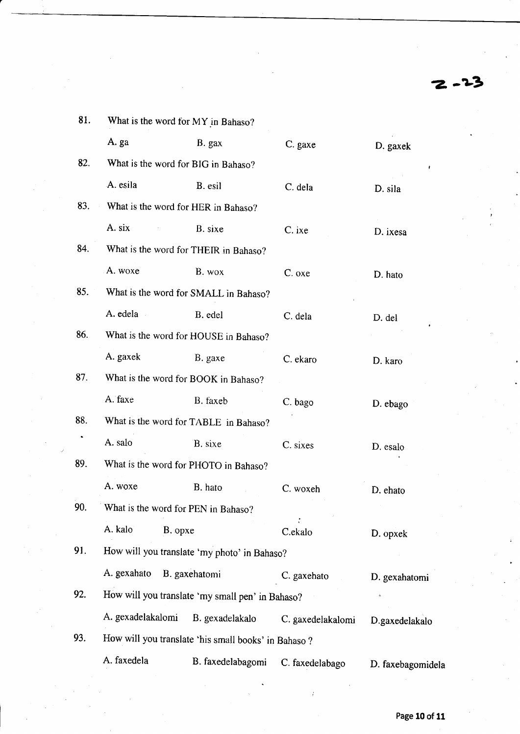$2 - 2^3$ 

| 81. | What is the word for MY in Bahaso?           |                                                      |                   |                   |  |  |
|-----|----------------------------------------------|------------------------------------------------------|-------------------|-------------------|--|--|
|     | A. ga                                        | B. gax                                               | C. gaxe           | D. gaxek          |  |  |
| 82. | What is the word for BIG in Bahaso?          |                                                      |                   |                   |  |  |
|     | A. esila                                     | B. esil                                              | C. dela           | D. sila           |  |  |
| 83. | What is the word for HER in Bahaso?          |                                                      |                   |                   |  |  |
|     | A. six                                       | B. sixe                                              | C. ixe            | D. ixesa          |  |  |
| 84. |                                              | What is the word for THEIR in Bahaso?                |                   |                   |  |  |
|     | A. woxe                                      | B. wox                                               | C. oxe            | D. hato           |  |  |
| 85. |                                              | What is the word for SMALL in Bahaso?                |                   |                   |  |  |
|     | A. edela                                     | B. edel                                              | C. dela           | D. del            |  |  |
| 86. |                                              | What is the word for HOUSE in Bahaso?                |                   |                   |  |  |
|     | A. gaxek                                     | B. gaxe                                              | C. ekaro          | D. karo           |  |  |
| 87. |                                              | What is the word for BOOK in Bahaso?                 |                   |                   |  |  |
|     | A. faxe                                      | B. faxeb                                             | C. bago           | D. ebago          |  |  |
| 88. |                                              | What is the word for TABLE in Bahaso?                |                   |                   |  |  |
|     | A. salo                                      | B. sixe                                              | C. sixes          | D. esalo          |  |  |
| 89. |                                              | What is the word for PHOTO in Bahaso?                |                   |                   |  |  |
|     | A. woxe                                      | B. hato                                              | C. woxeh          | D. ehato          |  |  |
| 90. | What is the word for PEN in Bahaso?          |                                                      |                   |                   |  |  |
|     | A. kalo<br>B. opxe                           |                                                      | C.ekalo           | D. opxek          |  |  |
| 91. | How will you translate 'my photo' in Bahaso? |                                                      |                   |                   |  |  |
|     | A. gexahato                                  | B. gaxehatomi                                        | C. gaxehato       | D. gexahatomi     |  |  |
| 92. |                                              | How will you translate 'my small pen' in Bahaso?     |                   | $\alpha$          |  |  |
|     | A. gexadelakalomi                            | B. gexadelakalo                                      | C. gaxedelakalomi | D.gaxedelakalo    |  |  |
| 93. |                                              | How will you translate 'his small books' in Bahaso ? |                   |                   |  |  |
|     | A. faxedela                                  | B. faxedelabagomi                                    | C. faxedelabago   | D. faxebagomidela |  |  |
|     |                                              |                                                      |                   |                   |  |  |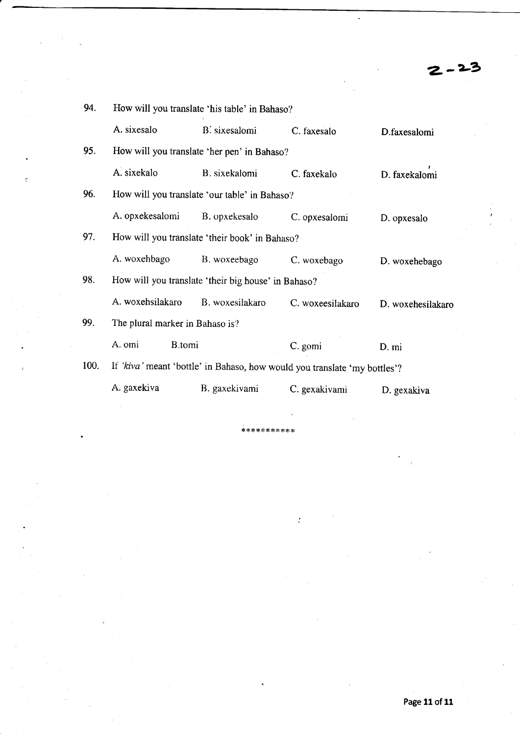$-23$ 

| 94.  | How will you translate 'his table' in Bahaso?       |                                               |                                                                           |                   |  |  |  |  |
|------|-----------------------------------------------------|-----------------------------------------------|---------------------------------------------------------------------------|-------------------|--|--|--|--|
|      | A. sixesalo                                         | B. sixesalomi                                 | C. faxesalo                                                               | D.faxesalomi      |  |  |  |  |
| 95.  |                                                     | How will you translate 'her pen' in Bahaso?   |                                                                           |                   |  |  |  |  |
|      | A. sixekalo                                         | B. sixekalomi                                 | C. faxekalo                                                               | D. faxekalomi     |  |  |  |  |
| 96.  |                                                     | How will you translate 'our table' in Bahaso? |                                                                           |                   |  |  |  |  |
|      | A. opxekesalomi                                     | B. opxekesalo                                 | C. opxesalomi                                                             | D. opxesalo       |  |  |  |  |
| 97.  | How will you translate 'their book' in Bahaso?      |                                               |                                                                           |                   |  |  |  |  |
|      | A. woxehbago                                        | B. woxeebago                                  | C. woxebago                                                               | D. woxehebago     |  |  |  |  |
| 98.  | How will you translate 'their big house' in Bahaso? |                                               |                                                                           |                   |  |  |  |  |
|      | A. woxehsilakaro                                    | B. woxesilakaro                               | C. woxeesilakaro                                                          | D. woxehesilakaro |  |  |  |  |
| 99.  | The plural marker in Bahaso is?                     |                                               |                                                                           |                   |  |  |  |  |
|      | A. omi<br>B.tomi                                    |                                               | C. gomi                                                                   | D. mi             |  |  |  |  |
| 100. |                                                     |                                               | If 'kiva' meant 'bottle' in Bahaso, how would you translate 'my bottles'? |                   |  |  |  |  |
|      | A. gaxekiva                                         | B. gaxekivami                                 | C. gexakivami                                                             | D. gexakiva       |  |  |  |  |

\*\*\*\*\*\*\*\*\*\*\*

 $\cdot$